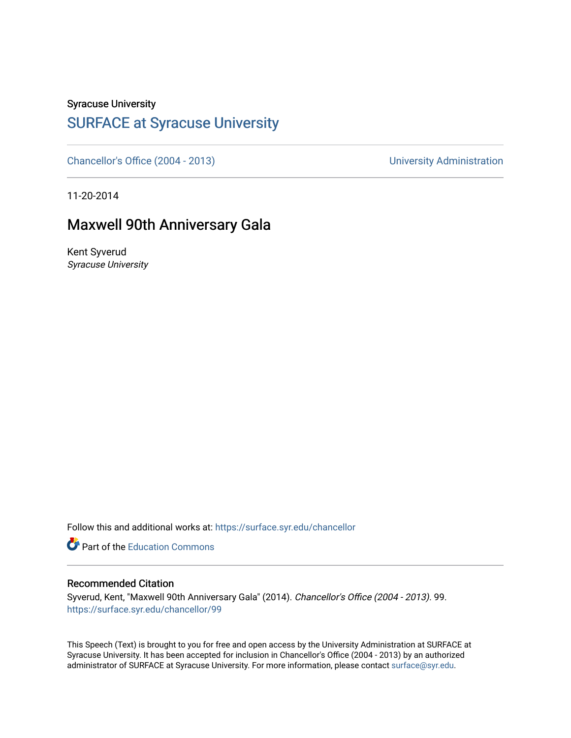#### Syracuse University

## [SURFACE at Syracuse University](https://surface.syr.edu/)

[Chancellor's Office \(2004 - 2013\)](https://surface.syr.edu/chancellor) Chancellor's Office (2004 - 2013)

11-20-2014

### Maxwell 90th Anniversary Gala

Kent Syverud Syracuse University

Follow this and additional works at: [https://surface.syr.edu/chancellor](https://surface.syr.edu/chancellor?utm_source=surface.syr.edu%2Fchancellor%2F99&utm_medium=PDF&utm_campaign=PDFCoverPages) 

**C** Part of the [Education Commons](http://network.bepress.com/hgg/discipline/784?utm_source=surface.syr.edu%2Fchancellor%2F99&utm_medium=PDF&utm_campaign=PDFCoverPages)

#### Recommended Citation

Syverud, Kent, "Maxwell 90th Anniversary Gala" (2014). Chancellor's Office (2004 - 2013). 99. [https://surface.syr.edu/chancellor/99](https://surface.syr.edu/chancellor/99?utm_source=surface.syr.edu%2Fchancellor%2F99&utm_medium=PDF&utm_campaign=PDFCoverPages) 

This Speech (Text) is brought to you for free and open access by the University Administration at SURFACE at Syracuse University. It has been accepted for inclusion in Chancellor's Office (2004 - 2013) by an authorized administrator of SURFACE at Syracuse University. For more information, please contact [surface@syr.edu.](mailto:surface@syr.edu)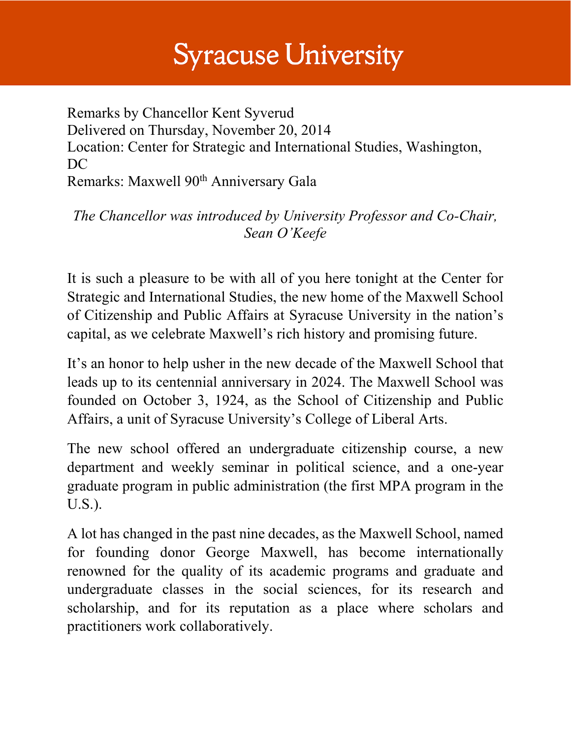# **Syracuse University**

Remarks by Chancellor Kent Syverud Delivered on Thursday, November 20, 2014 Location: Center for Strategic and International Studies, Washington, DC Remarks: Maxwell 90<sup>th</sup> Anniversary Gala

*The Chancellor was introduced by University Professor and Co-Chair, Sean O'Keefe*

It is such a pleasure to be with all of you here tonight at the Center for Strategic and International Studies, the new home of the Maxwell School of Citizenship and Public Affairs at Syracuse University in the nation's capital, as we celebrate Maxwell's rich history and promising future.

It's an honor to help usher in the new decade of the Maxwell School that leads up to its centennial anniversary in 2024. The Maxwell School was founded on October 3, 1924, as the School of Citizenship and Public Affairs, a unit of Syracuse University's College of Liberal Arts.

The new school offered an undergraduate citizenship course, a new department and weekly seminar in political science, and a one-year graduate program in public administration (the first MPA program in the U.S.).

A lot has changed in the past nine decades, as the Maxwell School, named for founding donor George Maxwell, has become internationally renowned for the quality of its academic programs and graduate and undergraduate classes in the social sciences, for its research and scholarship, and for its reputation as a place where scholars and practitioners work collaboratively.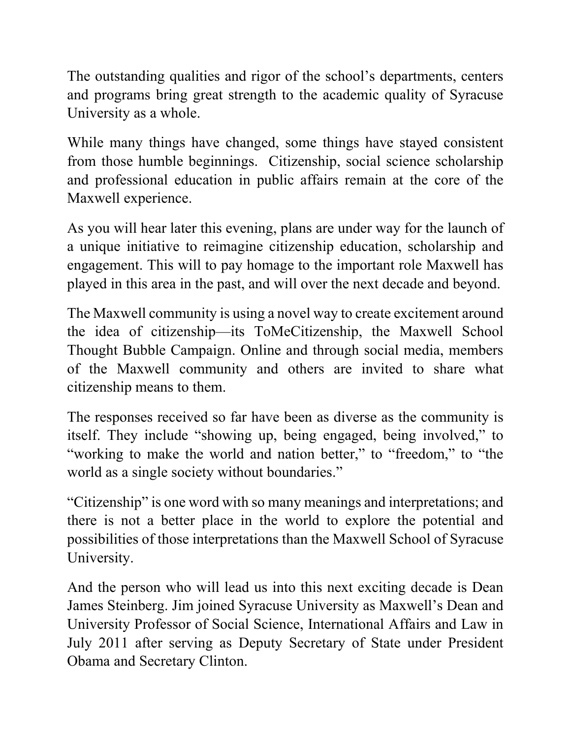The outstanding qualities and rigor of the school's departments, centers and programs bring great strength to the academic quality of Syracuse University as a whole.

While many things have changed, some things have stayed consistent from those humble beginnings. Citizenship, social science scholarship and professional education in public affairs remain at the core of the Maxwell experience.

As you will hear later this evening, plans are under way for the launch of a unique initiative to reimagine citizenship education, scholarship and engagement. This will to pay homage to the important role Maxwell has played in this area in the past, and will over the next decade and beyond.

The Maxwell community is using a novel way to create excitement around the idea of citizenship—its ToMeCitizenship, the Maxwell School Thought Bubble Campaign. Online and through social media, members of the Maxwell community and others are invited to share what citizenship means to them.

The responses received so far have been as diverse as the community is itself. They include "showing up, being engaged, being involved," to "working to make the world and nation better," to "freedom," to "the world as a single society without boundaries."

"Citizenship" is one word with so many meanings and interpretations; and there is not a better place in the world to explore the potential and possibilities of those interpretations than the Maxwell School of Syracuse University.

And the person who will lead us into this next exciting decade is Dean James Steinberg. Jim joined Syracuse University as Maxwell's Dean and University Professor of Social Science, International Affairs and Law in July 2011 after serving as Deputy Secretary of State under President Obama and Secretary Clinton.